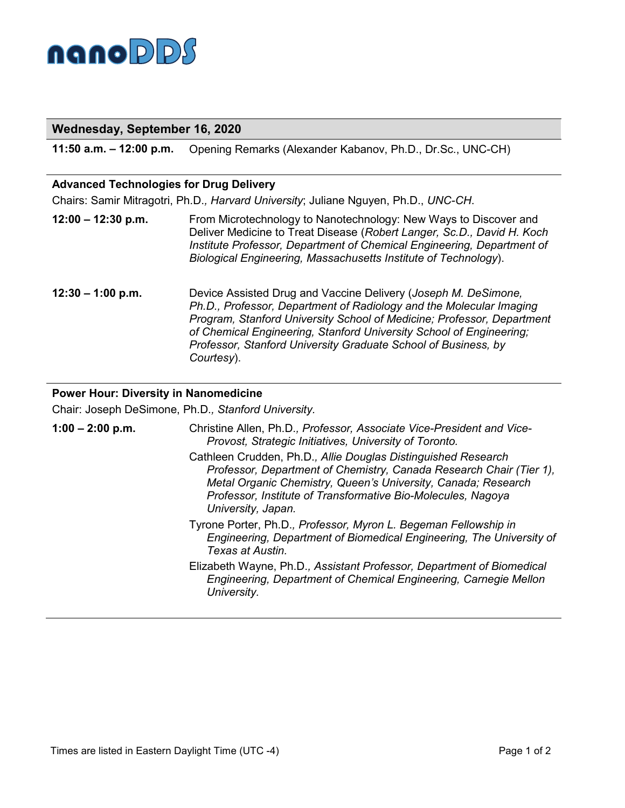

| Wednesday, September 16, 2020                  |                                                                                                                                                                                                                                                                                                                                                                                                                                |
|------------------------------------------------|--------------------------------------------------------------------------------------------------------------------------------------------------------------------------------------------------------------------------------------------------------------------------------------------------------------------------------------------------------------------------------------------------------------------------------|
| 11:50 a.m. $-$ 12:00 p.m.                      | Opening Remarks (Alexander Kabanov, Ph.D., Dr.Sc., UNC-CH)                                                                                                                                                                                                                                                                                                                                                                     |
| <b>Advanced Technologies for Drug Delivery</b> |                                                                                                                                                                                                                                                                                                                                                                                                                                |
|                                                | Chairs: Samir Mitragotri, Ph.D., Harvard University; Juliane Nguyen, Ph.D., UNC-CH.                                                                                                                                                                                                                                                                                                                                            |
| $12:00 - 12:30$ p.m.                           | From Microtechnology to Nanotechnology: New Ways to Discover and<br>Deliver Medicine to Treat Disease (Robert Langer, Sc.D., David H. Koch<br>Institute Professor, Department of Chemical Engineering, Department of<br>Biological Engineering, Massachusetts Institute of Technology).                                                                                                                                        |
| $12:30 - 1:00$ p.m.                            | Device Assisted Drug and Vaccine Delivery (Joseph M. DeSimone,<br>Ph.D., Professor, Department of Radiology and the Molecular Imaging<br>Program, Stanford University School of Medicine; Professor, Department<br>of Chemical Engineering, Stanford University School of Engineering;<br>Professor, Stanford University Graduate School of Business, by<br>Courtesy).                                                         |
| <b>Power Hour: Diversity in Nanomedicine</b>   |                                                                                                                                                                                                                                                                                                                                                                                                                                |
|                                                | Chair: Joseph DeSimone, Ph.D., Stanford University.                                                                                                                                                                                                                                                                                                                                                                            |
| $1:00 - 2:00$ p.m.                             | Christine Allen, Ph.D., Professor, Associate Vice-President and Vice-<br>Provost, Strategic Initiatives, University of Toronto.<br>Cathleen Crudden, Ph.D., Allie Douglas Distinguished Research<br>Professor, Department of Chemistry, Canada Research Chair (Tier 1),<br>Metal Organic Chemistry, Queen's University, Canada; Research<br>Professor, Institute of Transformative Bio-Molecules, Nagoya<br>University, Japan. |

- Tyrone Porter, Ph.D.*, Professor, Myron L. Begeman Fellowship in Engineering, Department of Biomedical Engineering, The University of Texas at Austin.*
- Elizabeth Wayne, Ph.D.*, Assistant Professor, Department of Biomedical Engineering, Department of Chemical Engineering, Carnegie Mellon University.*